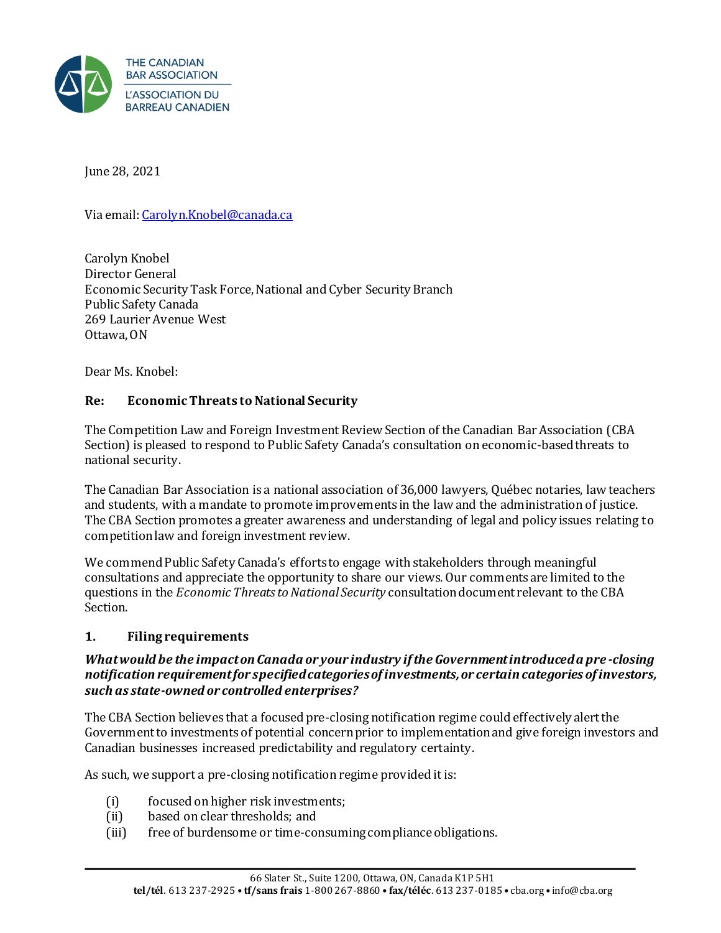

June 28, 2021

Via email[: Carolyn.Knobel@canada.ca](mailto:Carolyn.Knobel@canada.ca)

Carolyn Knobel Director General Economic Security Task Force, National and Cyber Security Branch Public Safety Canada 269 Laurier Avenue West Ottawa, ON

Dear Ms. Knobel:

### **Re: Economic Threats to National Security**

The Competition Law and Foreign Investment Review Section of the Canadian Bar Association (CBA Section) is pleased to respond to Public Safety Canada's consultation on economic-based threats to national security.

The Canadian Bar Association is a national association of 36,000 lawyers, Québec notaries, law teachers and students, with a mandate to promote improvements in the law and the administration of justice. The CBA Section promotes a greater awareness and understanding of legal and policy issues relating to competition law and foreign investment review.

We commend Public Safety Canada's efforts to engage with stakeholders through meaningful consultations and appreciate the opportunity to share our views. Our comments are limited to the questions in the *Economic Threats to National Security* consultation document relevant to the CBA Section.

### **1. Filing requirements**

### *What would be the impact on Canada or your industry if the Government introduced a pre -closing notification requirement for specified categories of investments, or certain categories of investors, such as state-owned or controlled enterprises?*

The CBA Section believes that a focused pre-closing notification regime could effectively alert the Government to investments of potential concern prior to implementation and give foreign investors and Canadian businesses increased predictability and regulatory certainty.

As such, we support a pre-closing notification regime provided it is:

- (i) focused on higher risk investments;
- (ii) based on clear thresholds; and
- (iii) free of burdensome or time-consuming compliance obligations.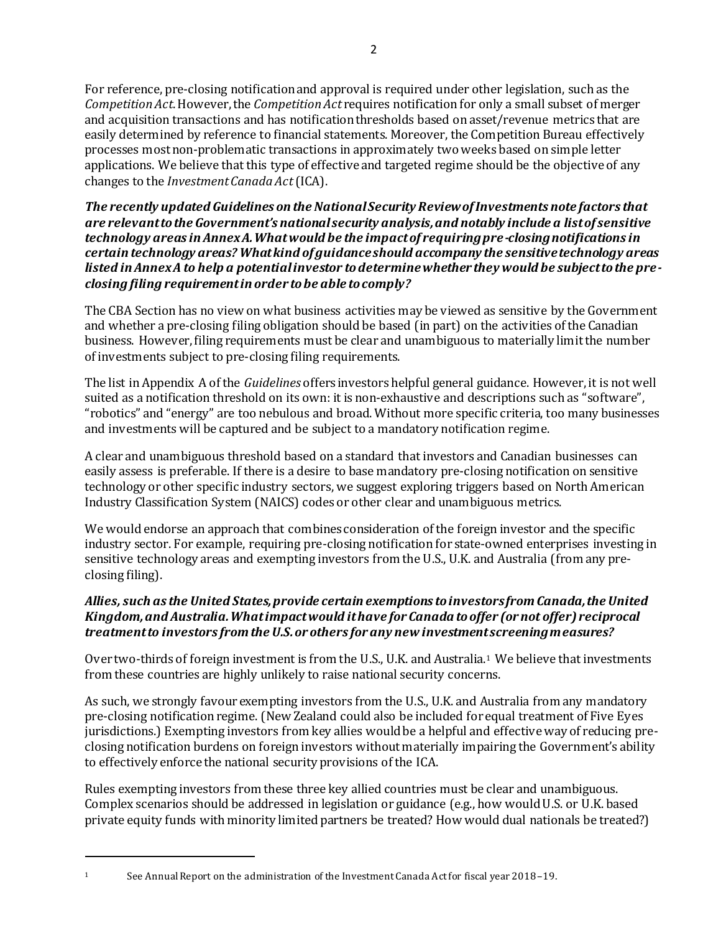2

For reference, pre-closing notification and approval is required under other legislation, such as the *Competition Act*. However, the *Competition Act* requires notification for only a small subset of merger and acquisition transactions and has notification thresholds based on asset/revenue metrics that are easily determined by reference to financial statements. Moreover, the Competition Bureau effectively processes most non-problematic transactions in approximately two weeks based on simple letter applications. We believe that this type of effective and targeted regime should be the objective of any changes to the *Investment Canada Act*(ICA).

*The recently updated Guidelines on the National Security Review of Investments note factors that are relevant to the Government's national security analysis, and notably include a list of sensitive technology areas in Annex A. What would be the impact of requiring pre-closing notifications in certain technology areas? What kind of guidance should accompany the sensitive technology areas listed in Annex A to help a potential investor to determine whether they would be subject to the preclosing filing requirement in order to be able to comply?*

The CBA Section has no view on what business activities may be viewed as sensitive by the Government and whether a pre-closing filing obligation should be based (in part) on the activities of the Canadian business. However, filing requirements must be clear and unambiguous to materially limit the number of investments subject to pre-closing filing requirements.

The list in Appendix A of the *Guidelines* offers investors helpful general guidance. However, it is not well suited as a notification threshold on its own: it is non-exhaustive and descriptions such as "software", "robotics" and "energy" are too nebulous and broad. Without more specific criteria, too many businesses and investments will be captured and be subject to a mandatory notification regime.

A clear and unambiguous threshold based on a standard that investors and Canadian businesses can easily assess is preferable. If there is a desire to base mandatory pre-closing notification on sensitive technology or other specific industry sectors, we suggest exploring triggers based on North American Industry Classification System (NAICS) codes or other clear and unambiguous metrics.

We would endorse an approach that combines consideration of the foreign investor and the specific industry sector. For example, requiring pre-closing notification for state-owned enterprises investing in sensitive technology areas and exempting investors from the U.S., U.K. and Australia (from any preclosing filing).

# *Allies, such as the United States, provide certain exemptions to investors from Canada, the United Kingdom, and Australia. What impact would it have for Canada to offer (or not offer) reciprocal treatment to investors from the U.S. or others for any new investment screening measures?*

Over two-thirds of foreign investment is from the U.S., U.K. and Australia. <sup>1</sup> We believe that investments from these countries are highly unlikely to raise national security concerns.

As such, we strongly favour exempting investors from the U.S., U.K. and Australia from any mandatory pre-closing notification regime. (New Zealand could also be included for equal treatment of Five Eyes jurisdictions.) Exempting investors from key allies would be a helpful and effective way of reducing preclosing notification burdens on foreign investors without materially impairing the Government's ability to effectively enforce the national security provisions of the ICA.

Rules exempting investors from these three key allied countries must be clear and unambiguous. Complex scenarios should be addressed in legislation or guidance (e.g., how would U.S. or U.K. based private equity funds with minority limited partners be treated? How would dual nationals be treated?)

<sup>1</sup> See Annual Report on the administration of the Investment Canada Act for fiscal year 2018–19.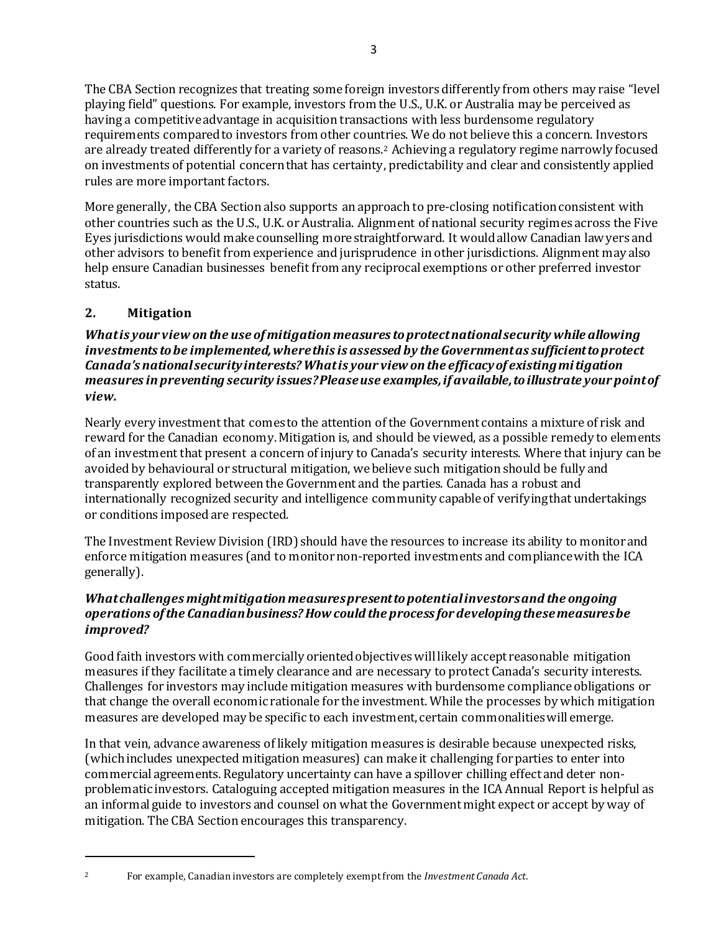The CBA Section recognizes that treating some foreign investors differently from others may raise "level playing field" questions. For example, investors from the U.S., U.K. or Australia may be perceived as having a competitive advantage in acquisition transactions with less burdensome regulatory requirements compared to investors from other countries. We do not believe this a concern. Investors are already treated differently for a variety of reasons.<sup>2</sup> Achieving a regulatory regime narrowly focused on investments of potential concern that has certainty, predictability and clear and consistently applied rules are more important factors.

More generally, the CBA Section also supports an approach to pre-closing notification consistent with other countries such as the U.S., U.K. or Australia. Alignment of national security regimes across the Five Eyes jurisdictions would make counselling more straightforward. It would allow Canadian lawyers and other advisors to benefit from experience and jurisprudence in other jurisdictions. Alignment may also help ensure Canadian businesses benefit from any reciprocal exemptions or other preferred investor status.

# **2. Mitigation**

*What is your view on the use of mitigation measures to protect national security while allowing investments to be implemented, where this is assessed by the Government as sufficient to protect Canada's national security interests? What is your view on the efficacy of existing mitigation measures in preventing security issues? Please use examples, if available, to illustrate your point of view.*

Nearly every investment that comes to the attention of the Government contains a mixture of risk and reward for the Canadian economy. Mitigation is, and should be viewed, as a possible remedy to elements of an investment that present a concern of injury to Canada's security interests. Where that injury can be avoided by behavioural or structural mitigation, we believe such mitigation should be fully and transparently explored between the Government and the parties. Canada has a robust and internationally recognized security and intelligence community capable of verifying that undertakings or conditions imposed are respected.

The Investment Review Division (IRD) should have the resources to increase its ability to monitor and enforce mitigation measures (and to monitor non-reported investments and compliance with the ICA generally).

## *What challenges might mitigation measures present to potential investors and the ongoing operations of the Canadian business? How could the process for developing these measures be improved?*

Good faith investors with commercially oriented objectives will likely accept reasonable mitigation measures if they facilitate a timely clearance and are necessary to protect Canada's security interests. Challenges for investors may include mitigation measures with burdensome compliance obligations or that change the overall economic rationale for the investment. While the processes by which mitigation measures are developed may be specific to each investment, certain commonalities will emerge.

In that vein, advance awareness of likely mitigation measures is desirable because unexpected risks, (which includes unexpected mitigation measures) can make it challenging for parties to enter into commercial agreements. Regulatory uncertainty can have a spillover chilling effect and deter nonproblematic investors. Cataloguing accepted mitigation measures in the ICA Annual Report is helpful as an informal guide to investors and counsel on what the Government might expect or accept by way of mitigation. The CBA Section encourages this transparency.

- 
- <sup>2</sup> For example, Canadian investors are completely exempt from the *Investment Canada Act*.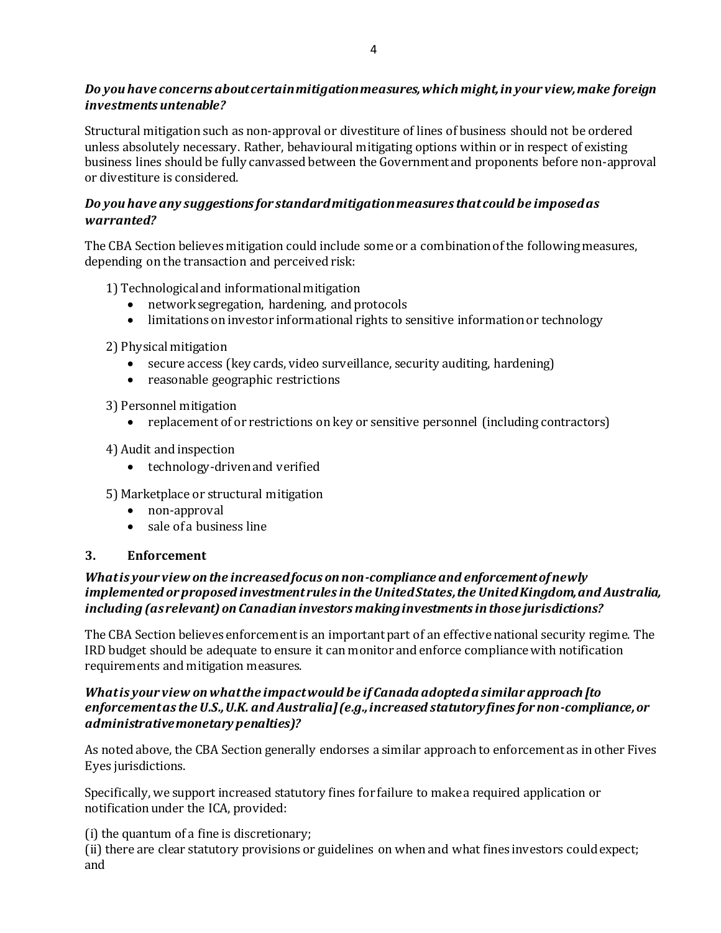## *Do you have concerns about certain mitigation measures, which might, in your view, make foreign investments untenable?*

Structural mitigation such as non-approval or divestiture of lines of business should not be ordered unless absolutely necessary. Rather, behavioural mitigating options within or in respect of existing business lines should be fully canvassed between the Government and proponents before non-approval or divestiture is considered.

# *Do you have any suggestions for standard mitigation measures that could be imposed as warranted?*

The CBA Section believes mitigation could include some or a combination of the following measures, depending on the transaction and perceived risk:

1) Technological and informational mitigation

- network segregation, hardening, and protocols
- limitations on investor informational rights to sensitive information or technology

2) Physical mitigation

- secure access (key cards, video surveillance, security auditing, hardening)
- reasonable geographic restrictions
- 3) Personnel mitigation
	- replacement of or restrictions on key or sensitive personnel (including contractors)
- 4) Audit and inspection
	- technology-driven and verified
- 5) Marketplace or structural mitigation
	- non-approval
	- sale of a business line

### **3. Enforcement**

## *What is your view on the increased focus on non-compliance and enforcement of newly implemented or proposed investment rules in the United States, the United Kingdom, and Australia, including (as relevant) on Canadian investors making investments in those jurisdictions?*

The CBA Section believes enforcement is an important part of an effective national security regime. The IRD budget should be adequate to ensure it can monitor and enforce compliance with notification requirements and mitigation measures.

## *What is your view on what the impact would be if Canada adopted a similar approach [to enforcement as the U.S., U.K. and Australia] (e.g., increased statutory fines for non-compliance, or administrative monetary penalties)?*

As noted above, the CBA Section generally endorses a similar approach to enforcement as in other Fives Eyes jurisdictions.

Specifically, we support increased statutory fines for failure to make a required application or notification under the ICA, provided:

(i) the quantum of a fine is discretionary;

(ii) there are clear statutory provisions or guidelines on when and what fines investors could expect; and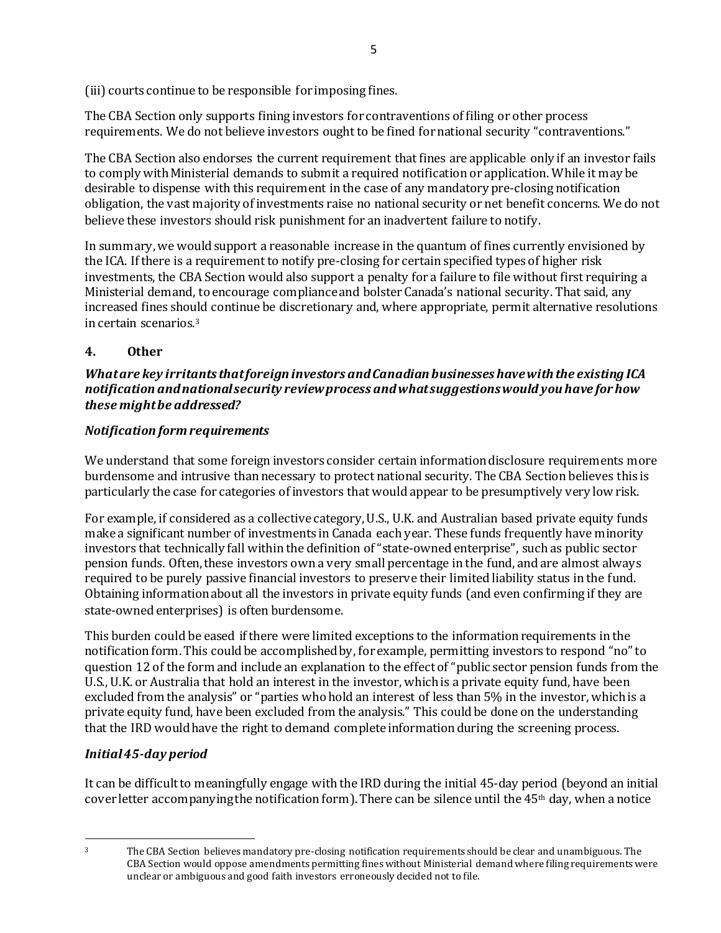(iii) courts continue to be responsible for imposing fines.

The CBA Section only supports fining investors for contraventions of filing or other process requirements. We do not believe investors ought to be fined for national security "contraventions."

The CBA Section also endorses the current requirement that fines are applicable only if an investor fails to comply with Ministerial demands to submit a required notification or application. While it may be desirable to dispense with this requirement in the case of any mandatory pre-closing notification obligation, the vast majority of investments raise no national security or net benefit concerns. We do not believe these investors should risk punishment for an inadvertent failure to notify.

In summary, we would support a reasonable increase in the quantum of fines currently envisioned by the ICA. If there is a requirement to notify pre-closing for certain specified types of higher risk investments, the CBA Section would also support a penalty for a failure to file without first requiring a Ministerial demand, to encourage compliance and bolster Canada's national security. That said, any increased fines should continue be discretionary and, where appropriate, permit alternative resolutions in certain scenarios.<sup>3</sup>

# **4. Other**

## *What are key irritants that foreign investors and Canadian businesses have with the existing ICA notification and national security review process and what suggestions would you have for how these might be addressed?*

# *Notification form requirements*

We understand that some foreign investors consider certain information disclosure requirements more burdensome and intrusive than necessary to protect national security. The CBA Section believes this is particularly the case for categories of investors that would appear to be presumptively very low risk.

For example, if considered as a collective category, U.S., U.K. and Australian based private equity funds make a significant number of investments in Canada each year. These funds frequently have minority investors that technically fall within the definition of "state-owned enterprise", such as public sector pension funds. Often, these investors own a very small percentage in the fund, and are almost always required to be purely passive financial investors to preserve their limited liability status in the fund. Obtaining information about all the investors in private equity funds (and even confirming if they are state-owned enterprises) is often burdensome.

This burden could be eased if there were limited exceptions to the information requirements in the notification form. This could be accomplished by, for example, permitting investors to respond "no" to question 12 of the form and include an explanation to the effect of "public sector pension funds from the U.S., U.K. or Australia that hold an interest in the investor, which is a private equity fund, have been excluded from the analysis" or "parties who hold an interest of less than 5% in the investor, which is a private equity fund, have been excluded from the analysis." This could be done on the understanding that the IRD would have the right to demand complete information during the screening process.

# *Initial 45-day period*

It can be difficult to meaningfully engage with the IRD during the initial 45-day period (beyond an initial cover letter accompanying the notification form). There can be silence until the  $45<sup>th</sup>$  day, when a notice

<sup>3</sup> The CBA Section believes mandatory pre-closing notification requirements should be clear and unambiguous. The CBA Section would oppose amendments permitting fines without Ministerial demand where filing requirements were unclear or ambiguous and good faith investors erroneously decided not to file.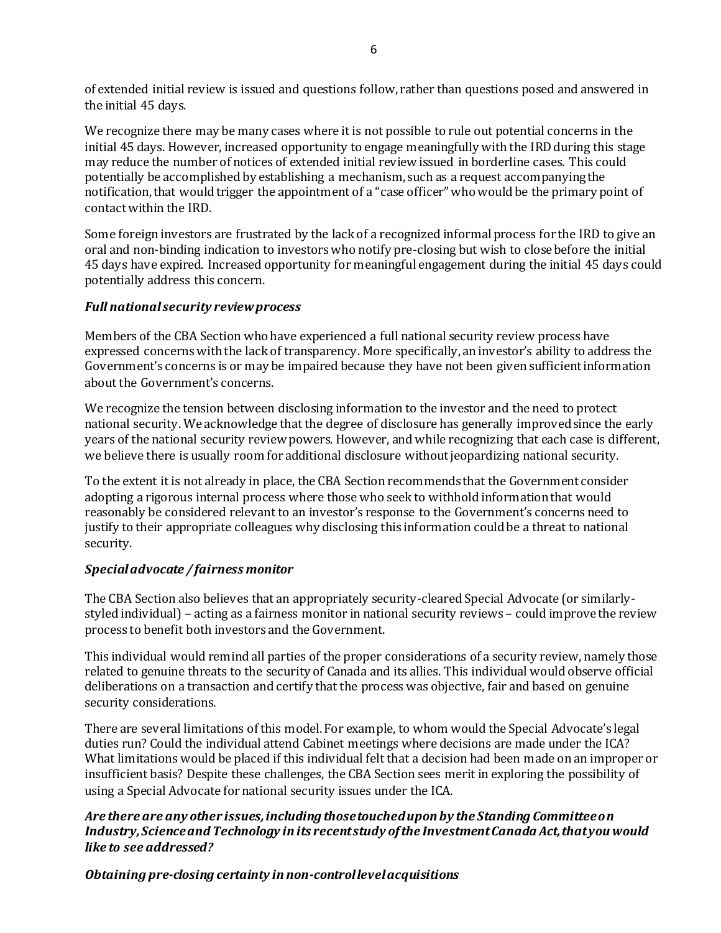of extended initial review is issued and questions follow, rather than questions posed and answered in the initial 45 days.

We recognize there may be many cases where it is not possible to rule out potential concerns in the initial 45 days. However, increased opportunity to engage meaningfully with the IRD during this stage may reduce the number of notices of extended initial review issued in borderline cases. This could potentially be accomplished by establishing a mechanism, such as a request accompanying the notification, that would trigger the appointment of a "case officer" who would be the primary point of contact within the IRD.

Some foreign investors are frustrated by the lack of a recognized informal process for the IRD to give an oral and non-binding indication to investors who notify pre-closing but wish to close before the initial 45 days have expired. Increased opportunity for meaningful engagement during the initial 45 days could potentially address this concern.

#### *Full national security review process*

Members of the CBA Section who have experienced a full national security review process have expressed concerns with the lack of transparency. More specifically, an investor's ability to address the Government's concerns is or may be impaired because they have not been given sufficientinformation about the Government's concerns.

We recognize the tension between disclosing information to the investor and the need to protect national security. We acknowledge that the degree of disclosure has generally improved since the early years of the national security review powers. However, and while recognizing that each case is different, we believe there is usually room for additional disclosure without jeopardizing national security.

To the extent it is not already in place, the CBA Section recommends that the Government consider adopting a rigorous internal process where those who seek to withhold information that would reasonably be considered relevant to an investor's response to the Government's concerns need to justify to their appropriate colleagues why disclosing this information could be a threat to national security.

### *Special advocate / fairness monitor*

The CBA Section also believes that an appropriately security-cleared Special Advocate (or similarlystyled individual) – acting as a fairness monitor in national security reviews– could improve the review process to benefit both investors and the Government.

This individual would remind all parties of the proper considerations of a security review, namely those related to genuine threats to the security of Canada and its allies. This individual would observe official deliberations on a transaction and certify that the process was objective, fair and based on genuine security considerations.

There are several limitations of this model. For example, to whom would the Special Advocate's legal duties run? Could the individual attend Cabinet meetings where decisions are made under the ICA? What limitations would be placed if this individual felt that a decision had been made on an improper or insufficient basis? Despite these challenges, the CBA Section sees merit in exploring the possibility of using a Special Advocate for national security issues under the ICA.

## *Are there are any other issues, including those touched upon by the Standing Committee on Industry, Science and Technology in its recent study of the Investment Canada Act, that you would like to see addressed?*

*Obtaining pre-closing certainty in non-control level acquisitions*